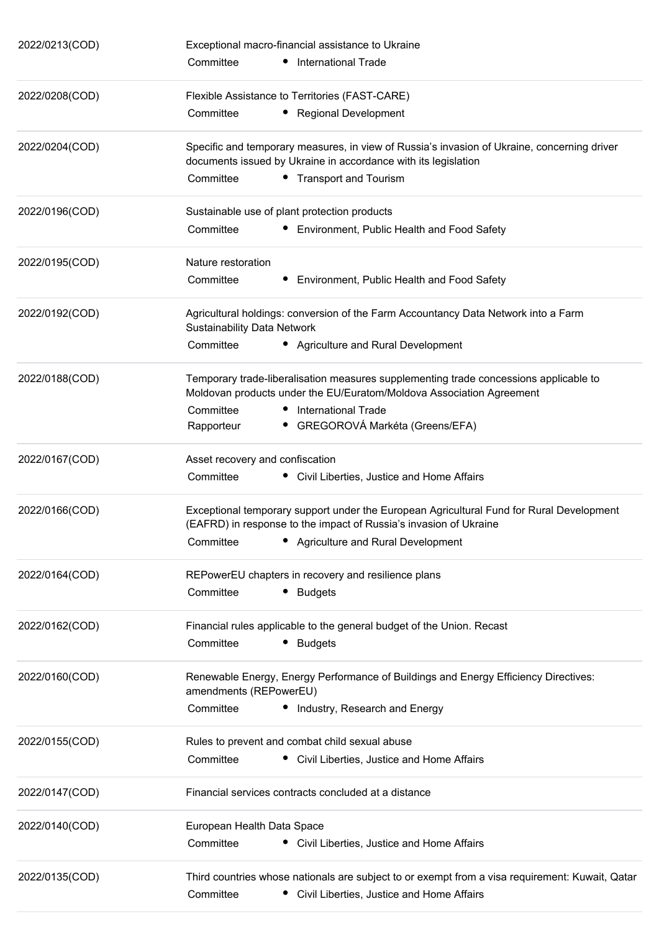| 2022/0213(COD) | Exceptional macro-financial assistance to Ukraine                                                                                                             |  |  |
|----------------|---------------------------------------------------------------------------------------------------------------------------------------------------------------|--|--|
|                | Committee<br>• International Trade                                                                                                                            |  |  |
| 2022/0208(COD) | Flexible Assistance to Territories (FAST-CARE)                                                                                                                |  |  |
|                | Committee<br>• Regional Development                                                                                                                           |  |  |
| 2022/0204(COD) | Specific and temporary measures, in view of Russia's invasion of Ukraine, concerning driver<br>documents issued by Ukraine in accordance with its legislation |  |  |
|                | Committee<br>• Transport and Tourism                                                                                                                          |  |  |
| 2022/0196(COD) | Sustainable use of plant protection products                                                                                                                  |  |  |
|                | Committee<br>• Environment, Public Health and Food Safety                                                                                                     |  |  |
| 2022/0195(COD) | Nature restoration                                                                                                                                            |  |  |
|                | Committee<br>• Environment, Public Health and Food Safety                                                                                                     |  |  |
| 2022/0192(COD) | Agricultural holdings: conversion of the Farm Accountancy Data Network into a Farm<br><b>Sustainability Data Network</b>                                      |  |  |
|                | Committee<br>• Agriculture and Rural Development                                                                                                              |  |  |
| 2022/0188(COD) | Temporary trade-liberalisation measures supplementing trade concessions applicable to<br>Moldovan products under the EU/Euratom/Moldova Association Agreement |  |  |
|                | Committee<br><b>International Trade</b>                                                                                                                       |  |  |
|                | • GREGOROVÁ Markéta (Greens/EFA)<br>Rapporteur                                                                                                                |  |  |
| 2022/0167(COD) | Asset recovery and confiscation                                                                                                                               |  |  |
|                | Committee<br>• Civil Liberties, Justice and Home Affairs                                                                                                      |  |  |
| 2022/0166(COD) | Exceptional temporary support under the European Agricultural Fund for Rural Development<br>(EAFRD) in response to the impact of Russia's invasion of Ukraine |  |  |
|                | Committee<br>Agriculture and Rural Development                                                                                                                |  |  |
| 2022/0164(COD) | REPowerEU chapters in recovery and resilience plans                                                                                                           |  |  |
|                | Committee<br><b>Budgets</b>                                                                                                                                   |  |  |
| 2022/0162(COD) | Financial rules applicable to the general budget of the Union. Recast                                                                                         |  |  |
|                | Committee<br><b>Budgets</b>                                                                                                                                   |  |  |
| 2022/0160(COD) | Renewable Energy, Energy Performance of Buildings and Energy Efficiency Directives:<br>amendments (REPowerEU)                                                 |  |  |
|                | Committee<br>• Industry, Research and Energy                                                                                                                  |  |  |
| 2022/0155(COD) | Rules to prevent and combat child sexual abuse                                                                                                                |  |  |
|                | Committee<br>• Civil Liberties, Justice and Home Affairs                                                                                                      |  |  |
| 2022/0147(COD) | Financial services contracts concluded at a distance                                                                                                          |  |  |
| 2022/0140(COD) | European Health Data Space                                                                                                                                    |  |  |
|                | Committee<br>• Civil Liberties, Justice and Home Affairs                                                                                                      |  |  |
| 2022/0135(COD) | Third countries whose nationals are subject to or exempt from a visa requirement: Kuwait, Qatar<br>Committee<br>Civil Liberties, Justice and Home Affairs     |  |  |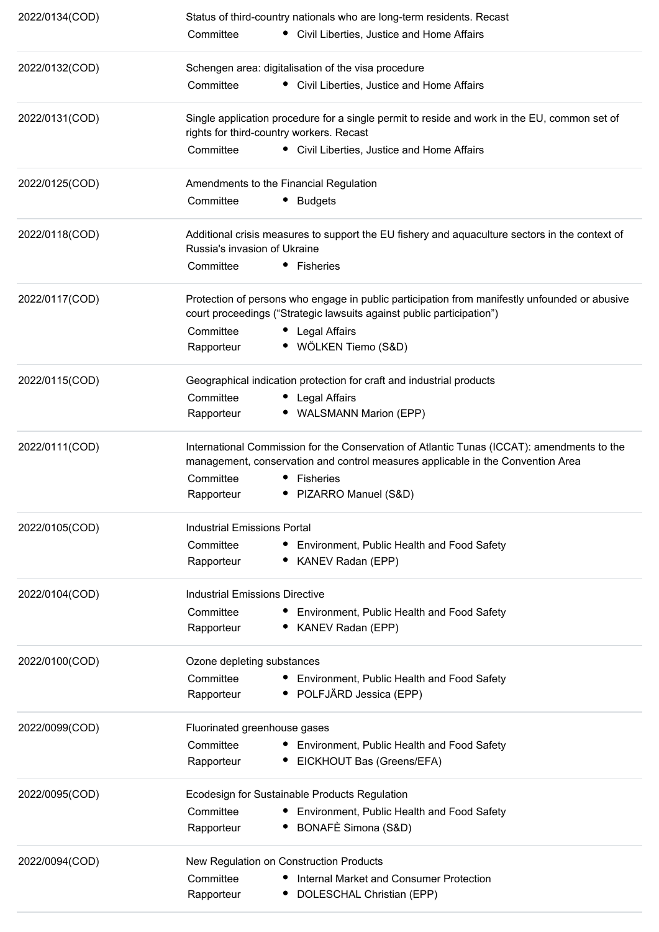| 2022/0134(COD) | Status of third-country nationals who are long-term residents. Recast                                                                                                         |  |  |  |
|----------------|-------------------------------------------------------------------------------------------------------------------------------------------------------------------------------|--|--|--|
|                | • Civil Liberties, Justice and Home Affairs<br>Committee                                                                                                                      |  |  |  |
| 2022/0132(COD) | Schengen area: digitalisation of the visa procedure                                                                                                                           |  |  |  |
|                | Committee<br>• Civil Liberties, Justice and Home Affairs                                                                                                                      |  |  |  |
| 2022/0131(COD) | Single application procedure for a single permit to reside and work in the EU, common set of<br>rights for third-country workers. Recast                                      |  |  |  |
|                | Committee<br>• Civil Liberties, Justice and Home Affairs                                                                                                                      |  |  |  |
| 2022/0125(COD) | Amendments to the Financial Regulation                                                                                                                                        |  |  |  |
|                | Committee<br><b>Budgets</b><br>٠                                                                                                                                              |  |  |  |
| 2022/0118(COD) | Additional crisis measures to support the EU fishery and aquaculture sectors in the context of<br>Russia's invasion of Ukraine                                                |  |  |  |
|                | Committee<br>• Fisheries                                                                                                                                                      |  |  |  |
| 2022/0117(COD) | Protection of persons who engage in public participation from manifestly unfounded or abusive<br>court proceedings ("Strategic lawsuits against public participation")        |  |  |  |
|                | Committee<br>Legal Affairs                                                                                                                                                    |  |  |  |
|                | · WÖLKEN Tiemo (S&D)<br>Rapporteur                                                                                                                                            |  |  |  |
| 2022/0115(COD) | Geographical indication protection for craft and industrial products                                                                                                          |  |  |  |
|                | Committee<br><b>Legal Affairs</b>                                                                                                                                             |  |  |  |
|                | • WALSMANN Marion (EPP)<br>Rapporteur                                                                                                                                         |  |  |  |
| 2022/0111(COD) | International Commission for the Conservation of Atlantic Tunas (ICCAT): amendments to the<br>management, conservation and control measures applicable in the Convention Area |  |  |  |
|                | Committee<br>Fisheries                                                                                                                                                        |  |  |  |
|                | Rapporteur<br>• PIZARRO Manuel (S&D)                                                                                                                                          |  |  |  |
| 2022/0105(COD) | Industrial Emissions Portal                                                                                                                                                   |  |  |  |
|                | Committee<br>• Environment, Public Health and Food Safety                                                                                                                     |  |  |  |
|                | Rapporteur<br>KANEV Radan (EPP)                                                                                                                                               |  |  |  |
| 2022/0104(COD) | Industrial Emissions Directive                                                                                                                                                |  |  |  |
|                | Committee<br>• Environment, Public Health and Food Safety                                                                                                                     |  |  |  |
|                | Rapporteur<br>• KANEV Radan (EPP)                                                                                                                                             |  |  |  |
| 2022/0100(COD) | Ozone depleting substances                                                                                                                                                    |  |  |  |
|                | Committee<br>• Environment, Public Health and Food Safety                                                                                                                     |  |  |  |
|                | POLFJÄRD Jessica (EPP)<br>Rapporteur                                                                                                                                          |  |  |  |
| 2022/0099(COD) | Fluorinated greenhouse gases                                                                                                                                                  |  |  |  |
|                | Committee<br>• Environment, Public Health and Food Safety                                                                                                                     |  |  |  |
|                | EICKHOUT Bas (Greens/EFA)<br>Rapporteur                                                                                                                                       |  |  |  |
| 2022/0095(COD) | Ecodesign for Sustainable Products Regulation                                                                                                                                 |  |  |  |
|                | Committee<br>Environment, Public Health and Food Safety                                                                                                                       |  |  |  |
|                | BONAFÈ Simona (S&D)<br>Rapporteur                                                                                                                                             |  |  |  |
| 2022/0094(COD) | New Regulation on Construction Products                                                                                                                                       |  |  |  |
|                | Committee<br>Internal Market and Consumer Protection                                                                                                                          |  |  |  |
|                | Rapporteur<br>DOLESCHAL Christian (EPP)                                                                                                                                       |  |  |  |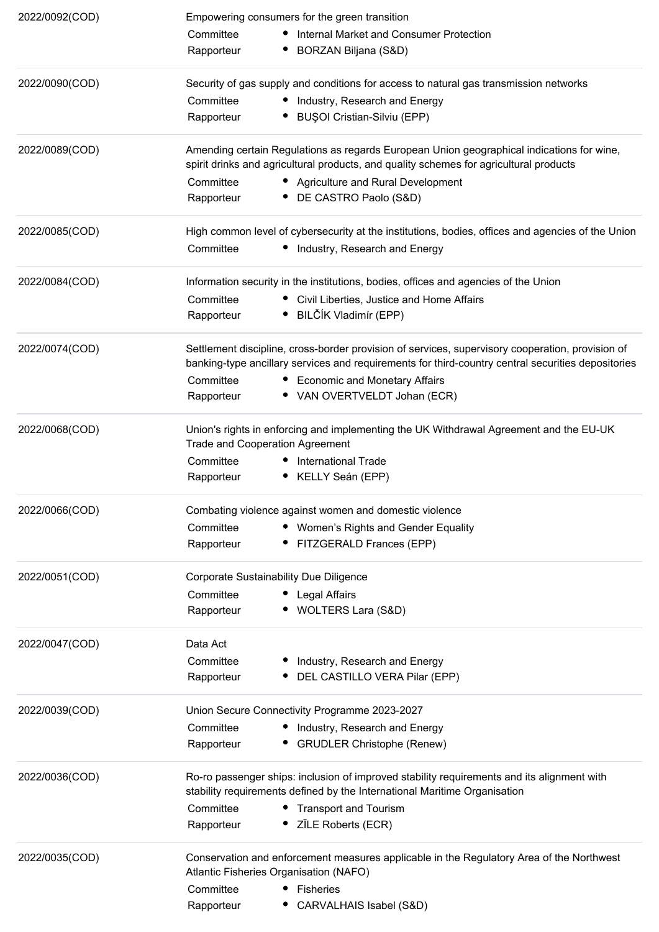| 2022/0092(COD) | Empowering consumers for the green transition                                                                                                                                                          |  |  |  |
|----------------|--------------------------------------------------------------------------------------------------------------------------------------------------------------------------------------------------------|--|--|--|
|                | • Internal Market and Consumer Protection<br>Committee                                                                                                                                                 |  |  |  |
|                | BORZAN Biljana (S&D)<br>Rapporteur                                                                                                                                                                     |  |  |  |
| 2022/0090(COD) | Security of gas supply and conditions for access to natural gas transmission networks                                                                                                                  |  |  |  |
|                | Committee<br>• Industry, Research and Energy                                                                                                                                                           |  |  |  |
|                | <b>BUŞOI Cristian-Silviu (EPP)</b><br>Rapporteur                                                                                                                                                       |  |  |  |
| 2022/0089(COD) | Amending certain Regulations as regards European Union geographical indications for wine,<br>spirit drinks and agricultural products, and quality schemes for agricultural products                    |  |  |  |
|                | Committee<br>• Agriculture and Rural Development                                                                                                                                                       |  |  |  |
|                | • DE CASTRO Paolo (S&D)<br>Rapporteur                                                                                                                                                                  |  |  |  |
| 2022/0085(COD) | High common level of cybersecurity at the institutions, bodies, offices and agencies of the Union                                                                                                      |  |  |  |
|                | Committee<br>• Industry, Research and Energy                                                                                                                                                           |  |  |  |
| 2022/0084(COD) | Information security in the institutions, bodies, offices and agencies of the Union                                                                                                                    |  |  |  |
|                | • Civil Liberties, Justice and Home Affairs<br>Committee                                                                                                                                               |  |  |  |
|                | • BILČÍK Vladimír (EPP)<br>Rapporteur                                                                                                                                                                  |  |  |  |
| 2022/0074(COD) | Settlement discipline, cross-border provision of services, supervisory cooperation, provision of<br>banking-type ancillary services and requirements for third-country central securities depositories |  |  |  |
|                | Committee<br>• Economic and Monetary Affairs                                                                                                                                                           |  |  |  |
|                | • VAN OVERTVELDT Johan (ECR)<br>Rapporteur                                                                                                                                                             |  |  |  |
| 2022/0068(COD) | Union's rights in enforcing and implementing the UK Withdrawal Agreement and the EU-UK<br><b>Trade and Cooperation Agreement</b>                                                                       |  |  |  |
|                | Committee<br><b>International Trade</b>                                                                                                                                                                |  |  |  |
|                | • KELLY Seán (EPP)<br>Rapporteur                                                                                                                                                                       |  |  |  |
| 2022/0066(COD) | Combating violence against women and domestic violence                                                                                                                                                 |  |  |  |
|                | Committee<br>• Women's Rights and Gender Equality                                                                                                                                                      |  |  |  |
|                | • FITZGERALD Frances (EPP)<br>Rapporteur                                                                                                                                                               |  |  |  |
| 2022/0051(COD) | Corporate Sustainability Due Diligence                                                                                                                                                                 |  |  |  |
|                | Committee<br>• Legal Affairs                                                                                                                                                                           |  |  |  |
|                | WOLTERS Lara (S&D)<br>Rapporteur                                                                                                                                                                       |  |  |  |
| 2022/0047(COD) | Data Act                                                                                                                                                                                               |  |  |  |
|                | Committee<br>Industry, Research and Energy                                                                                                                                                             |  |  |  |
|                | DEL CASTILLO VERA Pilar (EPP)<br>Rapporteur                                                                                                                                                            |  |  |  |
| 2022/0039(COD) | Union Secure Connectivity Programme 2023-2027                                                                                                                                                          |  |  |  |
|                | Committee<br>• Industry, Research and Energy                                                                                                                                                           |  |  |  |
|                | <b>GRUDLER Christophe (Renew)</b><br>Rapporteur                                                                                                                                                        |  |  |  |
| 2022/0036(COD) | Ro-ro passenger ships: inclusion of improved stability requirements and its alignment with<br>stability requirements defined by the International Maritime Organisation                                |  |  |  |
|                | Committee<br>• Transport and Tourism                                                                                                                                                                   |  |  |  |
|                | ZĪLE Roberts (ECR)<br>Rapporteur                                                                                                                                                                       |  |  |  |
| 2022/0035(COD) | Conservation and enforcement measures applicable in the Regulatory Area of the Northwest<br>Atlantic Fisheries Organisation (NAFO)                                                                     |  |  |  |
|                | Committee<br>Fisheries                                                                                                                                                                                 |  |  |  |
|                | Rapporteur<br>CARVALHAIS Isabel (S&D)                                                                                                                                                                  |  |  |  |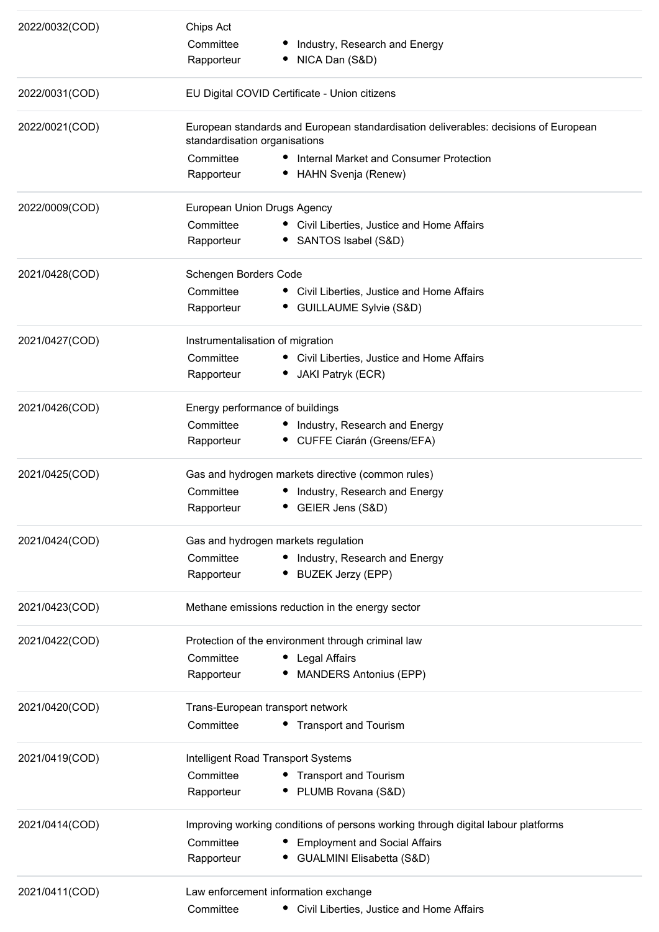| 2022/0032(COD) | Chips Act<br>Committee<br>Rapporteur                                                                                 | Industry, Research and Energy<br>NICA Dan (S&D)                                  |  |  |
|----------------|----------------------------------------------------------------------------------------------------------------------|----------------------------------------------------------------------------------|--|--|
| 2022/0031(COD) | EU Digital COVID Certificate - Union citizens                                                                        |                                                                                  |  |  |
| 2022/0021(COD) | European standards and European standardisation deliverables: decisions of European<br>standardisation organisations |                                                                                  |  |  |
|                | Committee                                                                                                            | Internal Market and Consumer Protection                                          |  |  |
|                | Rapporteur                                                                                                           | HAHN Svenja (Renew)                                                              |  |  |
| 2022/0009(COD) | European Union Drugs Agency                                                                                          |                                                                                  |  |  |
|                | Committee                                                                                                            | • Civil Liberties, Justice and Home Affairs                                      |  |  |
|                | Rapporteur                                                                                                           | • SANTOS Isabel (S&D)                                                            |  |  |
| 2021/0428(COD) | Schengen Borders Code                                                                                                |                                                                                  |  |  |
|                | Committee                                                                                                            | • Civil Liberties, Justice and Home Affairs                                      |  |  |
|                | Rapporteur                                                                                                           | • GUILLAUME Sylvie (S&D)                                                         |  |  |
| 2021/0427(COD) | Instrumentalisation of migration                                                                                     |                                                                                  |  |  |
|                | Committee                                                                                                            | • Civil Liberties, Justice and Home Affairs                                      |  |  |
|                | Rapporteur                                                                                                           | • JAKI Patryk (ECR)                                                              |  |  |
| 2021/0426(COD) |                                                                                                                      | Energy performance of buildings                                                  |  |  |
|                | Committee                                                                                                            | • Industry, Research and Energy                                                  |  |  |
|                | Rapporteur                                                                                                           | • CUFFE Ciarán (Greens/EFA)                                                      |  |  |
| 2021/0425(COD) | Gas and hydrogen markets directive (common rules)                                                                    |                                                                                  |  |  |
|                | Committee                                                                                                            | Industry, Research and Energy                                                    |  |  |
|                | Rapporteur                                                                                                           | GEIER Jens (S&D)<br>٠                                                            |  |  |
| 2021/0424(COD) |                                                                                                                      | Gas and hydrogen markets regulation                                              |  |  |
|                | Committee                                                                                                            | Industry, Research and Energy                                                    |  |  |
|                | Rapporteur                                                                                                           | <b>BUZEK Jerzy (EPP)</b>                                                         |  |  |
| 2021/0423(COD) | Methane emissions reduction in the energy sector                                                                     |                                                                                  |  |  |
| 2021/0422(COD) |                                                                                                                      | Protection of the environment through criminal law                               |  |  |
|                | Committee                                                                                                            | • Legal Affairs                                                                  |  |  |
|                | Rapporteur                                                                                                           | <b>MANDERS Antonius (EPP)</b>                                                    |  |  |
| 2021/0420(COD) |                                                                                                                      | Trans-European transport network                                                 |  |  |
|                | Committee                                                                                                            | • Transport and Tourism                                                          |  |  |
| 2021/0419(COD) | Intelligent Road Transport Systems                                                                                   |                                                                                  |  |  |
|                | Committee                                                                                                            | • Transport and Tourism                                                          |  |  |
|                | Rapporteur                                                                                                           | PLUMB Rovana (S&D)                                                               |  |  |
| 2021/0414(COD) |                                                                                                                      | Improving working conditions of persons working through digital labour platforms |  |  |
|                | Committee                                                                                                            | <b>Employment and Social Affairs</b>                                             |  |  |
|                | Rapporteur                                                                                                           | GUALMINI Elisabetta (S&D)                                                        |  |  |
| 2021/0411(COD) |                                                                                                                      | Law enforcement information exchange                                             |  |  |
|                | Committee                                                                                                            | Civil Liberties, Justice and Home Affairs                                        |  |  |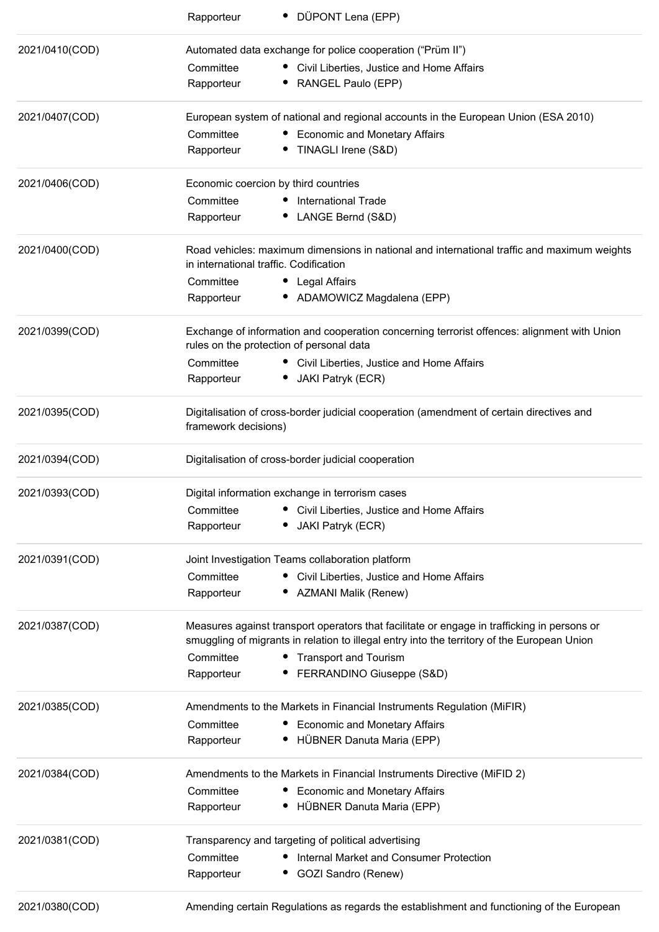|                | • DÜPONT Lena (EPP)<br>Rapporteur                                                                                |                                                                                                                                                                                            |
|----------------|------------------------------------------------------------------------------------------------------------------|--------------------------------------------------------------------------------------------------------------------------------------------------------------------------------------------|
| 2021/0410(COD) | Automated data exchange for police cooperation ("Prüm II")                                                       |                                                                                                                                                                                            |
|                | Committee                                                                                                        | • Civil Liberties, Justice and Home Affairs                                                                                                                                                |
|                | Rapporteur                                                                                                       | RANGEL Paulo (EPP)                                                                                                                                                                         |
| 2021/0407(COD) |                                                                                                                  | European system of national and regional accounts in the European Union (ESA 2010)                                                                                                         |
|                | Committee                                                                                                        | • Economic and Monetary Affairs                                                                                                                                                            |
|                | TINAGLI Irene (S&D)<br>Rapporteur                                                                                |                                                                                                                                                                                            |
| 2021/0406(COD) | Economic coercion by third countries                                                                             |                                                                                                                                                                                            |
|                | Committee<br><b>International Trade</b>                                                                          |                                                                                                                                                                                            |
|                | • LANGE Bernd (S&D)<br>Rapporteur                                                                                |                                                                                                                                                                                            |
| 2021/0400(COD) | in international traffic. Codification                                                                           | Road vehicles: maximum dimensions in national and international traffic and maximum weights                                                                                                |
|                | Committee<br>• Legal Affairs                                                                                     |                                                                                                                                                                                            |
|                | Rapporteur                                                                                                       | • ADAMOWICZ Magdalena (EPP)                                                                                                                                                                |
| 2021/0399(COD) | rules on the protection of personal data                                                                         | Exchange of information and cooperation concerning terrorist offences: alignment with Union                                                                                                |
|                | Committee                                                                                                        | • Civil Liberties, Justice and Home Affairs                                                                                                                                                |
|                | JAKI Patryk (ECR)<br>Rapporteur                                                                                  |                                                                                                                                                                                            |
| 2021/0395(COD) | Digitalisation of cross-border judicial cooperation (amendment of certain directives and<br>framework decisions) |                                                                                                                                                                                            |
| 2021/0394(COD) | Digitalisation of cross-border judicial cooperation                                                              |                                                                                                                                                                                            |
| 2021/0393(COD) | Digital information exchange in terrorism cases                                                                  |                                                                                                                                                                                            |
|                | Committee                                                                                                        | Civil Liberties, Justice and Home Affairs                                                                                                                                                  |
|                | Rapporteur<br>JAKI Patryk (ECR)                                                                                  |                                                                                                                                                                                            |
| 2021/0391(COD) | Joint Investigation Teams collaboration platform                                                                 |                                                                                                                                                                                            |
|                | Committee                                                                                                        | • Civil Liberties, Justice and Home Affairs                                                                                                                                                |
|                | • AZMANI Malik (Renew)<br>Rapporteur                                                                             |                                                                                                                                                                                            |
| 2021/0387(COD) |                                                                                                                  | Measures against transport operators that facilitate or engage in trafficking in persons or<br>smuggling of migrants in relation to illegal entry into the territory of the European Union |
|                | Committee<br>• Transport and Tourism                                                                             |                                                                                                                                                                                            |
|                | Rapporteur                                                                                                       | FERRANDINO Giuseppe (S&D)                                                                                                                                                                  |
| 2021/0385(COD) |                                                                                                                  | Amendments to the Markets in Financial Instruments Regulation (MiFIR)                                                                                                                      |
|                | Committee                                                                                                        | <b>Economic and Monetary Affairs</b>                                                                                                                                                       |
|                | Rapporteur                                                                                                       | • HÜBNER Danuta Maria (EPP)                                                                                                                                                                |
| 2021/0384(COD) |                                                                                                                  | Amendments to the Markets in Financial Instruments Directive (MiFID 2)                                                                                                                     |
|                | Committee                                                                                                        | <b>Economic and Monetary Affairs</b>                                                                                                                                                       |
|                | Rapporteur                                                                                                       | • HÜBNER Danuta Maria (EPP)                                                                                                                                                                |
| 2021/0381(COD) | Transparency and targeting of political advertising                                                              |                                                                                                                                                                                            |
|                | Committee                                                                                                        | Internal Market and Consumer Protection                                                                                                                                                    |
|                | Rapporteur<br>• GOZI Sandro (Renew)                                                                              |                                                                                                                                                                                            |
| 2021/0380(COD) |                                                                                                                  | Amending certain Regulations as regards the establishment and functioning of the European                                                                                                  |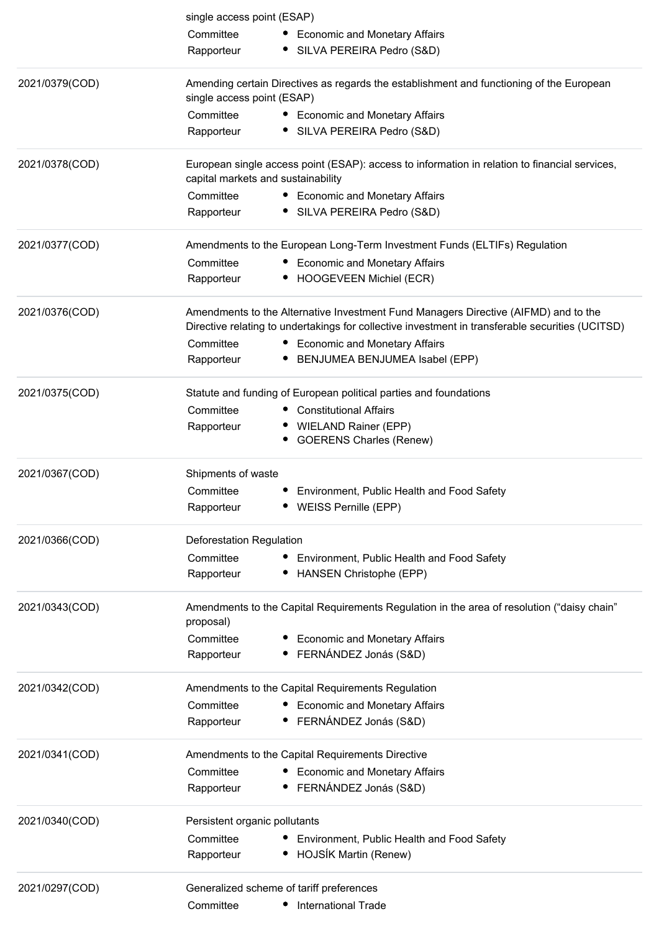|                | single access point (ESAP)                                                                                             |                                                                                                                                                                                         |  |  |
|----------------|------------------------------------------------------------------------------------------------------------------------|-----------------------------------------------------------------------------------------------------------------------------------------------------------------------------------------|--|--|
|                | Committee                                                                                                              | • Economic and Monetary Affairs                                                                                                                                                         |  |  |
|                | Rapporteur                                                                                                             | • SILVA PEREIRA Pedro (S&D)                                                                                                                                                             |  |  |
| 2021/0379(COD) | Amending certain Directives as regards the establishment and functioning of the European<br>single access point (ESAP) |                                                                                                                                                                                         |  |  |
|                | Committee                                                                                                              | • Economic and Monetary Affairs                                                                                                                                                         |  |  |
|                | Rapporteur                                                                                                             | • SILVA PEREIRA Pedro (S&D)                                                                                                                                                             |  |  |
| 2021/0378(COD) | capital markets and sustainability                                                                                     | European single access point (ESAP): access to information in relation to financial services,                                                                                           |  |  |
|                | Committee                                                                                                              | • Economic and Monetary Affairs                                                                                                                                                         |  |  |
|                | Rapporteur                                                                                                             | • SILVA PEREIRA Pedro (S&D)                                                                                                                                                             |  |  |
| 2021/0377(COD) |                                                                                                                        | Amendments to the European Long-Term Investment Funds (ELTIFs) Regulation                                                                                                               |  |  |
|                | Committee                                                                                                              | • Economic and Monetary Affairs                                                                                                                                                         |  |  |
|                | Rapporteur                                                                                                             | • HOOGEVEEN Michiel (ECR)                                                                                                                                                               |  |  |
| 2021/0376(COD) |                                                                                                                        | Amendments to the Alternative Investment Fund Managers Directive (AIFMD) and to the<br>Directive relating to undertakings for collective investment in transferable securities (UCITSD) |  |  |
|                | Committee                                                                                                              | • Economic and Monetary Affairs                                                                                                                                                         |  |  |
|                | Rapporteur                                                                                                             | BENJUMEA BENJUMEA Isabel (EPP)                                                                                                                                                          |  |  |
| 2021/0375(COD) |                                                                                                                        | Statute and funding of European political parties and foundations                                                                                                                       |  |  |
|                | Committee                                                                                                              | • Constitutional Affairs                                                                                                                                                                |  |  |
|                | Rapporteur                                                                                                             | • WIELAND Rainer (EPP)                                                                                                                                                                  |  |  |
|                |                                                                                                                        | <b>GOERENS Charles (Renew)</b>                                                                                                                                                          |  |  |
| 2021/0367(COD) | Shipments of waste                                                                                                     |                                                                                                                                                                                         |  |  |
|                | Committee                                                                                                              | Environment, Public Health and Food Safety                                                                                                                                              |  |  |
|                | Rapporteur                                                                                                             | • WEISS Pernille (EPP)                                                                                                                                                                  |  |  |
| 2021/0366(COD) | Deforestation Regulation                                                                                               |                                                                                                                                                                                         |  |  |
|                | Committee                                                                                                              | Environment, Public Health and Food Safety                                                                                                                                              |  |  |
|                | Rapporteur                                                                                                             | HANSEN Christophe (EPP)                                                                                                                                                                 |  |  |
| 2021/0343(COD) | proposal)                                                                                                              | Amendments to the Capital Requirements Regulation in the area of resolution ("daisy chain"                                                                                              |  |  |
|                | Committee                                                                                                              | <b>Economic and Monetary Affairs</b>                                                                                                                                                    |  |  |
|                | Rapporteur                                                                                                             | FERNÁNDEZ Jonás (S&D)                                                                                                                                                                   |  |  |
| 2021/0342(COD) |                                                                                                                        | Amendments to the Capital Requirements Regulation                                                                                                                                       |  |  |
|                | Committee                                                                                                              | <b>Economic and Monetary Affairs</b>                                                                                                                                                    |  |  |
|                | Rapporteur                                                                                                             | FERNÁNDEZ Jonás (S&D)                                                                                                                                                                   |  |  |
| 2021/0341(COD) |                                                                                                                        | Amendments to the Capital Requirements Directive                                                                                                                                        |  |  |
|                | Committee                                                                                                              | <b>Economic and Monetary Affairs</b>                                                                                                                                                    |  |  |
|                | Rapporteur                                                                                                             | FERNÁNDEZ Jonás (S&D)                                                                                                                                                                   |  |  |
| 2021/0340(COD) | Persistent organic pollutants                                                                                          |                                                                                                                                                                                         |  |  |
|                | Committee                                                                                                              | Environment, Public Health and Food Safety                                                                                                                                              |  |  |
|                | Rapporteur                                                                                                             | HOJSÍK Martin (Renew)                                                                                                                                                                   |  |  |
| 2021/0297(COD) |                                                                                                                        | Generalized scheme of tariff preferences                                                                                                                                                |  |  |
|                | Committee                                                                                                              | <b>International Trade</b>                                                                                                                                                              |  |  |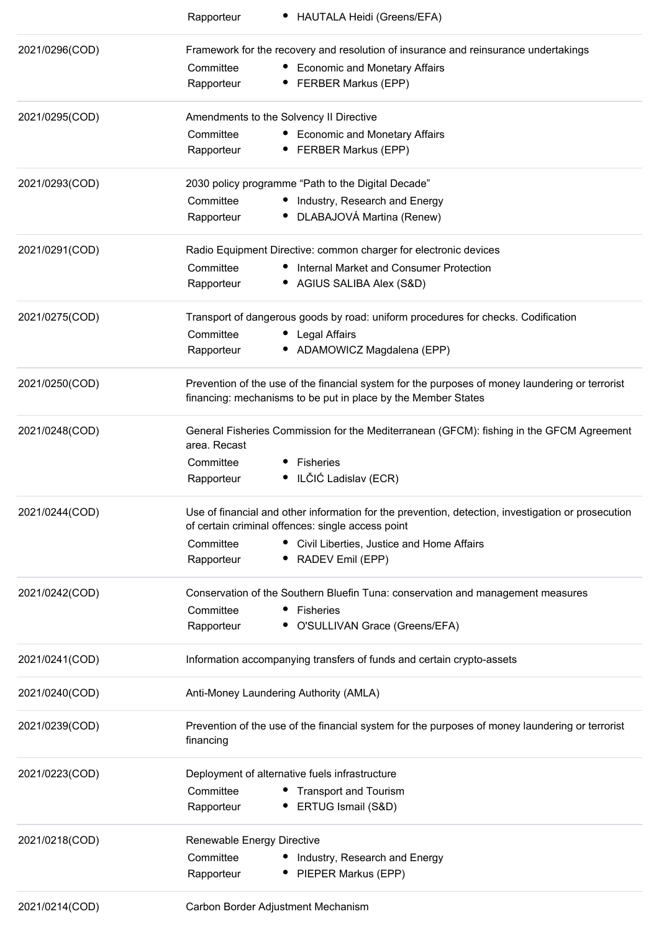|                                                                                                                                                                                                                                                                                                                                                                                                                                                               | HAUTALA Heidi (Greens/EFA)<br>Rapporteur                                                                                                                                                                                                                                                                                                                                                                                                                                                  |  |  |  |
|---------------------------------------------------------------------------------------------------------------------------------------------------------------------------------------------------------------------------------------------------------------------------------------------------------------------------------------------------------------------------------------------------------------------------------------------------------------|-------------------------------------------------------------------------------------------------------------------------------------------------------------------------------------------------------------------------------------------------------------------------------------------------------------------------------------------------------------------------------------------------------------------------------------------------------------------------------------------|--|--|--|
| 2021/0296(COD)                                                                                                                                                                                                                                                                                                                                                                                                                                                | Framework for the recovery and resolution of insurance and reinsurance undertakings                                                                                                                                                                                                                                                                                                                                                                                                       |  |  |  |
|                                                                                                                                                                                                                                                                                                                                                                                                                                                               | <b>Economic and Monetary Affairs</b><br>Committee                                                                                                                                                                                                                                                                                                                                                                                                                                         |  |  |  |
|                                                                                                                                                                                                                                                                                                                                                                                                                                                               | Rapporteur<br><b>FERBER Markus (EPP)</b>                                                                                                                                                                                                                                                                                                                                                                                                                                                  |  |  |  |
| 2021/0295(COD)                                                                                                                                                                                                                                                                                                                                                                                                                                                | Amendments to the Solvency II Directive                                                                                                                                                                                                                                                                                                                                                                                                                                                   |  |  |  |
|                                                                                                                                                                                                                                                                                                                                                                                                                                                               | Committee<br><b>Economic and Monetary Affairs</b>                                                                                                                                                                                                                                                                                                                                                                                                                                         |  |  |  |
|                                                                                                                                                                                                                                                                                                                                                                                                                                                               | Rapporteur<br>• FERBER Markus (EPP)                                                                                                                                                                                                                                                                                                                                                                                                                                                       |  |  |  |
| 2021/0293(COD)                                                                                                                                                                                                                                                                                                                                                                                                                                                | 2030 policy programme "Path to the Digital Decade"                                                                                                                                                                                                                                                                                                                                                                                                                                        |  |  |  |
|                                                                                                                                                                                                                                                                                                                                                                                                                                                               | Committee<br>Industry, Research and Energy                                                                                                                                                                                                                                                                                                                                                                                                                                                |  |  |  |
|                                                                                                                                                                                                                                                                                                                                                                                                                                                               | DLABAJOVÁ Martina (Renew)<br>Rapporteur                                                                                                                                                                                                                                                                                                                                                                                                                                                   |  |  |  |
| 2021/0291(COD)                                                                                                                                                                                                                                                                                                                                                                                                                                                | Radio Equipment Directive: common charger for electronic devices                                                                                                                                                                                                                                                                                                                                                                                                                          |  |  |  |
|                                                                                                                                                                                                                                                                                                                                                                                                                                                               | Committee<br>Internal Market and Consumer Protection                                                                                                                                                                                                                                                                                                                                                                                                                                      |  |  |  |
|                                                                                                                                                                                                                                                                                                                                                                                                                                                               | • AGIUS SALIBA Alex (S&D)<br>Rapporteur                                                                                                                                                                                                                                                                                                                                                                                                                                                   |  |  |  |
| 2021/0275(COD)                                                                                                                                                                                                                                                                                                                                                                                                                                                | Transport of dangerous goods by road: uniform procedures for checks. Codification                                                                                                                                                                                                                                                                                                                                                                                                         |  |  |  |
|                                                                                                                                                                                                                                                                                                                                                                                                                                                               | Committee<br>Legal Affairs                                                                                                                                                                                                                                                                                                                                                                                                                                                                |  |  |  |
|                                                                                                                                                                                                                                                                                                                                                                                                                                                               | • ADAMOWICZ Magdalena (EPP)<br>Rapporteur                                                                                                                                                                                                                                                                                                                                                                                                                                                 |  |  |  |
| 2021/0250(COD)                                                                                                                                                                                                                                                                                                                                                                                                                                                | Prevention of the use of the financial system for the purposes of money laundering or terrorist                                                                                                                                                                                                                                                                                                                                                                                           |  |  |  |
|                                                                                                                                                                                                                                                                                                                                                                                                                                                               | financing: mechanisms to be put in place by the Member States                                                                                                                                                                                                                                                                                                                                                                                                                             |  |  |  |
| 2021/0248(COD)                                                                                                                                                                                                                                                                                                                                                                                                                                                | General Fisheries Commission for the Mediterranean (GFCM): fishing in the GFCM Agreement                                                                                                                                                                                                                                                                                                                                                                                                  |  |  |  |
|                                                                                                                                                                                                                                                                                                                                                                                                                                                               | area. Recast                                                                                                                                                                                                                                                                                                                                                                                                                                                                              |  |  |  |
|                                                                                                                                                                                                                                                                                                                                                                                                                                                               | Committee<br>Fisheries                                                                                                                                                                                                                                                                                                                                                                                                                                                                    |  |  |  |
|                                                                                                                                                                                                                                                                                                                                                                                                                                                               | ILČIĆ Ladislav (ECR)<br>Rapporteur                                                                                                                                                                                                                                                                                                                                                                                                                                                        |  |  |  |
| 2021/0244(COD)                                                                                                                                                                                                                                                                                                                                                                                                                                                | Use of financial and other information for the prevention, detection, investigation or prosecution                                                                                                                                                                                                                                                                                                                                                                                        |  |  |  |
|                                                                                                                                                                                                                                                                                                                                                                                                                                                               | of certain criminal offences: single access point                                                                                                                                                                                                                                                                                                                                                                                                                                         |  |  |  |
|                                                                                                                                                                                                                                                                                                                                                                                                                                                               | Committee<br>• Civil Liberties, Justice and Home Affairs<br>RADEV Emil (EPP)<br>Rapporteur                                                                                                                                                                                                                                                                                                                                                                                                |  |  |  |
|                                                                                                                                                                                                                                                                                                                                                                                                                                                               |                                                                                                                                                                                                                                                                                                                                                                                                                                                                                           |  |  |  |
| 2021/0242(COD)                                                                                                                                                                                                                                                                                                                                                                                                                                                | Conservation of the Southern Bluefin Tuna: conservation and management measures                                                                                                                                                                                                                                                                                                                                                                                                           |  |  |  |
|                                                                                                                                                                                                                                                                                                                                                                                                                                                               | Committee<br>Fisheries                                                                                                                                                                                                                                                                                                                                                                                                                                                                    |  |  |  |
|                                                                                                                                                                                                                                                                                                                                                                                                                                                               | Rapporteur<br>O'SULLIVAN Grace (Greens/EFA)                                                                                                                                                                                                                                                                                                                                                                                                                                               |  |  |  |
| 2021/0241(COD)                                                                                                                                                                                                                                                                                                                                                                                                                                                | Information accompanying transfers of funds and certain crypto-assets                                                                                                                                                                                                                                                                                                                                                                                                                     |  |  |  |
| 2021/0240(COD)                                                                                                                                                                                                                                                                                                                                                                                                                                                | Anti-Money Laundering Authority (AMLA)                                                                                                                                                                                                                                                                                                                                                                                                                                                    |  |  |  |
| 2021/0239(COD)                                                                                                                                                                                                                                                                                                                                                                                                                                                | Prevention of the use of the financial system for the purposes of money laundering or terrorist                                                                                                                                                                                                                                                                                                                                                                                           |  |  |  |
|                                                                                                                                                                                                                                                                                                                                                                                                                                                               | financing                                                                                                                                                                                                                                                                                                                                                                                                                                                                                 |  |  |  |
| 2021/0223(COD)                                                                                                                                                                                                                                                                                                                                                                                                                                                | Deployment of alternative fuels infrastructure                                                                                                                                                                                                                                                                                                                                                                                                                                            |  |  |  |
|                                                                                                                                                                                                                                                                                                                                                                                                                                                               | Committee<br><b>Transport and Tourism</b>                                                                                                                                                                                                                                                                                                                                                                                                                                                 |  |  |  |
|                                                                                                                                                                                                                                                                                                                                                                                                                                                               | ERTUG Ismail (S&D)<br>Rapporteur                                                                                                                                                                                                                                                                                                                                                                                                                                                          |  |  |  |
| 2021/0218(COD)                                                                                                                                                                                                                                                                                                                                                                                                                                                | Renewable Energy Directive                                                                                                                                                                                                                                                                                                                                                                                                                                                                |  |  |  |
|                                                                                                                                                                                                                                                                                                                                                                                                                                                               | Committee<br>Industry, Research and Energy                                                                                                                                                                                                                                                                                                                                                                                                                                                |  |  |  |
|                                                                                                                                                                                                                                                                                                                                                                                                                                                               | • PIEPER Markus (EPP)<br>Rapporteur                                                                                                                                                                                                                                                                                                                                                                                                                                                       |  |  |  |
| $\begin{array}{c}\n\sqrt{2} \\ \sqrt{2} \\ \sqrt{2} \\ \sqrt{2} \\ \sqrt{2} \\ \sqrt{2} \\ \sqrt{2} \\ \sqrt{2} \\ \sqrt{2} \\ \sqrt{2} \\ \sqrt{2} \\ \sqrt{2} \\ \sqrt{2} \\ \sqrt{2} \\ \sqrt{2} \\ \sqrt{2} \\ \sqrt{2} \\ \sqrt{2} \\ \sqrt{2} \\ \sqrt{2} \\ \sqrt{2} \\ \sqrt{2} \\ \sqrt{2} \\ \sqrt{2} \\ \sqrt{2} \\ \sqrt{2} \\ \sqrt{2} \\ \sqrt{2} \\ \sqrt{2} \\ \sqrt{2} \\ \sqrt{2} \\ \sqrt{2} \\ \sqrt{2} \\ \sqrt{2} \\ \sqrt{2} \\ \sqrt$ | $S = \frac{1}{2} \left[ \nabla \cdot \nabla \cdot \nabla \cdot \nabla \cdot \nabla \cdot \nabla \cdot \nabla \cdot \nabla \cdot \nabla \cdot \nabla \cdot \nabla \cdot \nabla \cdot \nabla \cdot \nabla \cdot \nabla \cdot \nabla \cdot \nabla \cdot \nabla \cdot \nabla \cdot \nabla \cdot \nabla \cdot \nabla \cdot \nabla \cdot \nabla \cdot \nabla \cdot \nabla \cdot \nabla \cdot \nabla \cdot \nabla \cdot \nabla \cdot \nabla \cdot \nabla \cdot \nabla \cdot \nabla \cdot \nabla$ |  |  |  |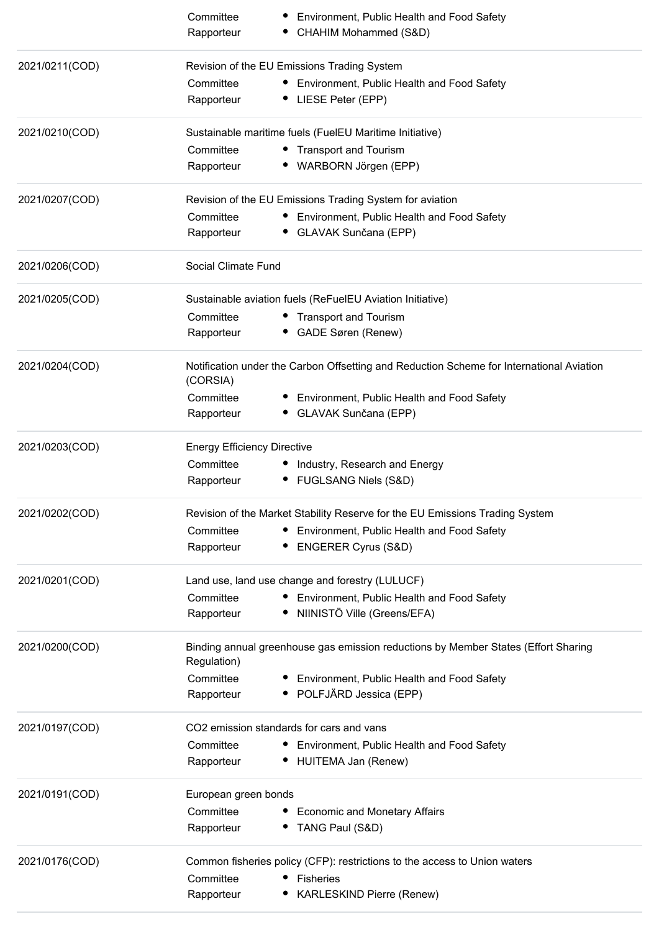|                | Committee<br>Rapporteur            | Environment, Public Health and Food Safety<br>CHAHIM Mohammed (S&D)                      |
|----------------|------------------------------------|------------------------------------------------------------------------------------------|
| 2021/0211(COD) |                                    | Revision of the EU Emissions Trading System                                              |
|                | Committee                          | • Environment, Public Health and Food Safety                                             |
|                | Rapporteur                         | • LIESE Peter (EPP)                                                                      |
| 2021/0210(COD) |                                    | Sustainable maritime fuels (FuelEU Maritime Initiative)                                  |
|                | Committee                          | • Transport and Tourism                                                                  |
|                | Rapporteur                         | • WARBORN Jörgen (EPP)                                                                   |
| 2021/0207(COD) |                                    | Revision of the EU Emissions Trading System for aviation                                 |
|                | Committee                          | • Environment, Public Health and Food Safety                                             |
|                | Rapporteur                         | • GLAVAK Sunčana (EPP)                                                                   |
| 2021/0206(COD) | Social Climate Fund                |                                                                                          |
| 2021/0205(COD) |                                    | Sustainable aviation fuels (ReFuelEU Aviation Initiative)                                |
|                | Committee                          | • Transport and Tourism                                                                  |
|                | Rapporteur                         | • GADE Søren (Renew)                                                                     |
| 2021/0204(COD) | (CORSIA)                           | Notification under the Carbon Offsetting and Reduction Scheme for International Aviation |
|                | Committee                          | Environment, Public Health and Food Safety<br>∙.                                         |
|                | Rapporteur                         | • GLAVAK Sunčana (EPP)                                                                   |
| 2021/0203(COD) | <b>Energy Efficiency Directive</b> |                                                                                          |
|                | Committee                          | • Industry, Research and Energy                                                          |
|                | Rapporteur                         | • FUGLSANG Niels (S&D)                                                                   |
| 2021/0202(COD) |                                    | Revision of the Market Stability Reserve for the EU Emissions Trading System             |
|                | Committee                          | • Environment, Public Health and Food Safety                                             |
|                | Rapporteur                         | • ENGERER Cyrus (S&D)                                                                    |
| 2021/0201(COD) |                                    | Land use, land use change and forestry (LULUCF)                                          |
|                | Committee                          | • Environment, Public Health and Food Safety                                             |
|                | Rapporteur                         | · NIINISTÖ Ville (Greens/EFA)                                                            |
| 2021/0200(COD) | Regulation)                        | Binding annual greenhouse gas emission reductions by Member States (Effort Sharing       |
|                | Committee                          | • Environment, Public Health and Food Safety                                             |
|                | Rapporteur                         | • POLFJÄRD Jessica (EPP)                                                                 |
| 2021/0197(COD) |                                    | CO2 emission standards for cars and vans                                                 |
|                | Committee                          | • Environment, Public Health and Food Safety                                             |
|                | Rapporteur                         | HUITEMA Jan (Renew)                                                                      |
| 2021/0191(COD) | European green bonds               |                                                                                          |
|                | Committee                          | • Economic and Monetary Affairs                                                          |
|                | Rapporteur                         | • TANG Paul (S&D)                                                                        |
| 2021/0176(COD) |                                    | Common fisheries policy (CFP): restrictions to the access to Union waters                |
|                | Committee                          | • Fisheries                                                                              |
|                | Rapporteur                         | <b>KARLESKIND Pierre (Renew)</b>                                                         |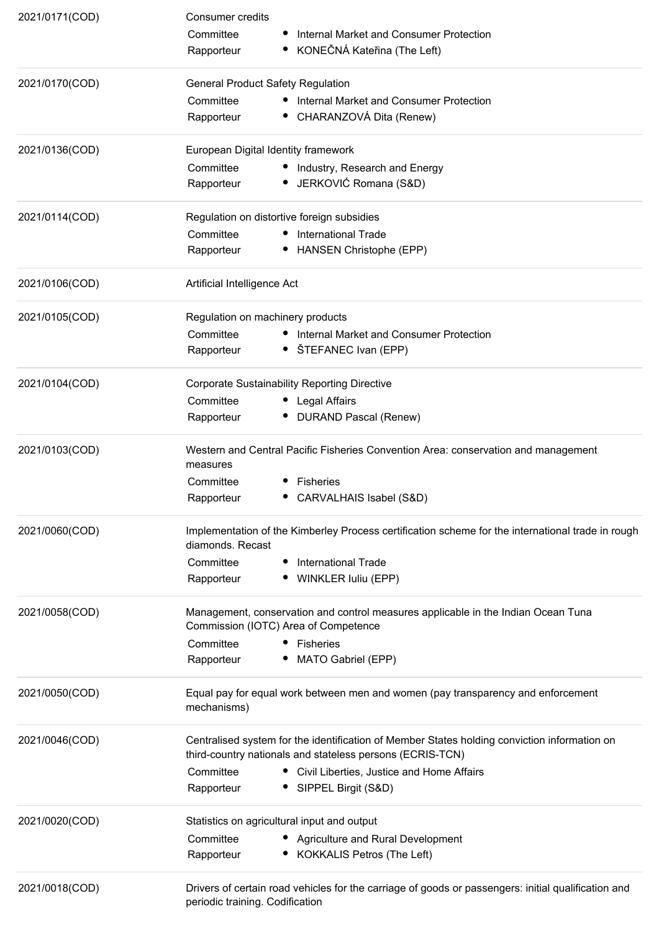| 2021/0171(COD) | Consumer credits                                                                                                          |                                                                                                                                                           |  |  |
|----------------|---------------------------------------------------------------------------------------------------------------------------|-----------------------------------------------------------------------------------------------------------------------------------------------------------|--|--|
|                | Committee                                                                                                                 | Internal Market and Consumer Protection                                                                                                                   |  |  |
|                | Rapporteur                                                                                                                | KONEČNÁ Kateřina (The Left)                                                                                                                               |  |  |
| 2021/0170(COD) | <b>General Product Safety Regulation</b>                                                                                  |                                                                                                                                                           |  |  |
|                | Committee                                                                                                                 | • Internal Market and Consumer Protection                                                                                                                 |  |  |
|                | Rapporteur                                                                                                                | • CHARANZOVÁ Dita (Renew)                                                                                                                                 |  |  |
| 2021/0136(COD) | European Digital Identity framework                                                                                       |                                                                                                                                                           |  |  |
|                | Committee                                                                                                                 | • Industry, Research and Energy                                                                                                                           |  |  |
|                | Rapporteur                                                                                                                | • JERKOVIĆ Romana (S&D)                                                                                                                                   |  |  |
| 2021/0114(COD) | Regulation on distortive foreign subsidies                                                                                |                                                                                                                                                           |  |  |
|                | Committee                                                                                                                 | • International Trade                                                                                                                                     |  |  |
|                | Rapporteur                                                                                                                | • HANSEN Christophe (EPP)                                                                                                                                 |  |  |
| 2021/0106(COD) | Artificial Intelligence Act                                                                                               |                                                                                                                                                           |  |  |
| 2021/0105(COD) | Regulation on machinery products                                                                                          |                                                                                                                                                           |  |  |
|                | Committee                                                                                                                 | • Internal Market and Consumer Protection                                                                                                                 |  |  |
|                | Rapporteur                                                                                                                | • ŠTEFANEC Ivan (EPP)                                                                                                                                     |  |  |
| 2021/0104(COD) | <b>Corporate Sustainability Reporting Directive</b>                                                                       |                                                                                                                                                           |  |  |
|                | Committee                                                                                                                 | • Legal Affairs                                                                                                                                           |  |  |
|                | Rapporteur                                                                                                                | • DURAND Pascal (Renew)                                                                                                                                   |  |  |
| 2021/0103(COD) | measures                                                                                                                  | Western and Central Pacific Fisheries Convention Area: conservation and management                                                                        |  |  |
|                | Committee                                                                                                                 | Fisheries                                                                                                                                                 |  |  |
|                | Rapporteur                                                                                                                | CARVALHAIS Isabel (S&D)                                                                                                                                   |  |  |
| 2021/0060(COD) | Implementation of the Kimberley Process certification scheme for the international trade in rough                         |                                                                                                                                                           |  |  |
|                | diamonds. Recast                                                                                                          |                                                                                                                                                           |  |  |
|                | Committee                                                                                                                 | International Trade                                                                                                                                       |  |  |
|                | Rapporteur                                                                                                                | WINKLER Iuliu (EPP)                                                                                                                                       |  |  |
| 2021/0058(COD) | Management, conservation and control measures applicable in the Indian Ocean Tuna<br>Commission (IOTC) Area of Competence |                                                                                                                                                           |  |  |
|                | Committee                                                                                                                 | • Fisheries                                                                                                                                               |  |  |
|                | Rapporteur                                                                                                                | MATO Gabriel (EPP)                                                                                                                                        |  |  |
| 2021/0050(COD) | Equal pay for equal work between men and women (pay transparency and enforcement<br>mechanisms)                           |                                                                                                                                                           |  |  |
| 2021/0046(COD) |                                                                                                                           | Centralised system for the identification of Member States holding conviction information on<br>third-country nationals and stateless persons (ECRIS-TCN) |  |  |
|                | Committee                                                                                                                 | • Civil Liberties, Justice and Home Affairs                                                                                                               |  |  |
|                | Rapporteur                                                                                                                | • SIPPEL Birgit (S&D)                                                                                                                                     |  |  |
| 2021/0020(COD) | Statistics on agricultural input and output                                                                               |                                                                                                                                                           |  |  |
|                | Committee                                                                                                                 | • Agriculture and Rural Development                                                                                                                       |  |  |
|                | Rapporteur                                                                                                                | <b>KOKKALIS Petros (The Left)</b>                                                                                                                         |  |  |
| 2021/0018(COD) | periodic training. Codification                                                                                           | Drivers of certain road vehicles for the carriage of goods or passengers: initial qualification and                                                       |  |  |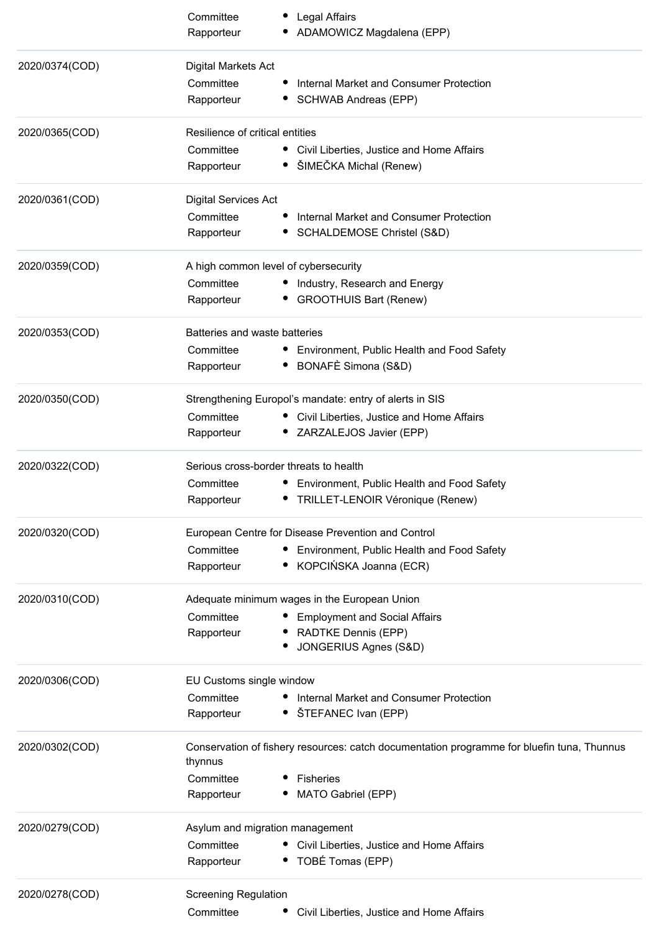|                | Committee                       | Legal Affairs                                                                              |
|----------------|---------------------------------|--------------------------------------------------------------------------------------------|
|                | Rapporteur                      | ADAMOWICZ Magdalena (EPP)                                                                  |
| 2020/0374(COD) | Digital Markets Act             |                                                                                            |
|                | Committee                       | Internal Market and Consumer Protection                                                    |
|                | Rapporteur                      | SCHWAB Andreas (EPP)                                                                       |
|                |                                 |                                                                                            |
| 2020/0365(COD) | Resilience of critical entities |                                                                                            |
|                | Committee                       | • Civil Liberties, Justice and Home Affairs                                                |
|                | Rapporteur                      | ŠIMEČKA Michal (Renew)                                                                     |
| 2020/0361(COD) | <b>Digital Services Act</b>     |                                                                                            |
|                | Committee                       | Internal Market and Consumer Protection                                                    |
|                | Rapporteur                      | SCHALDEMOSE Christel (S&D)                                                                 |
| 2020/0359(COD) |                                 | A high common level of cybersecurity                                                       |
|                | Committee                       | • Industry, Research and Energy                                                            |
|                | Rapporteur                      | <b>GROOTHUIS Bart (Renew)</b>                                                              |
|                |                                 |                                                                                            |
| 2020/0353(COD) | Batteries and waste batteries   |                                                                                            |
|                | Committee                       | • Environment, Public Health and Food Safety                                               |
|                | Rapporteur                      | BONAFÈ Simona (S&D)                                                                        |
| 2020/0350(COD) |                                 | Strengthening Europol's mandate: entry of alerts in SIS                                    |
|                | Committee                       | • Civil Liberties, Justice and Home Affairs                                                |
|                | Rapporteur                      | • ZARZALEJOS Javier (EPP)                                                                  |
| 2020/0322(COD) |                                 | Serious cross-border threats to health                                                     |
|                | Committee                       |                                                                                            |
|                | Rapporteur                      | Environment, Public Health and Food Safety<br>• TRILLET-LENOIR Véronique (Renew)           |
|                |                                 |                                                                                            |
| 2020/0320(COD) |                                 | European Centre for Disease Prevention and Control                                         |
|                | Committee                       | Environment, Public Health and Food Safety                                                 |
|                | Rapporteur                      | • KOPCIŃSKA Joanna (ECR)                                                                   |
| 2020/0310(COD) |                                 | Adequate minimum wages in the European Union                                               |
|                | Committee                       | <b>Employment and Social Affairs</b>                                                       |
|                | Rapporteur                      | RADTKE Dennis (EPP)                                                                        |
|                |                                 | JONGERIUS Agnes (S&D)                                                                      |
| 2020/0306(COD) | EU Customs single window        |                                                                                            |
|                | Committee                       | Internal Market and Consumer Protection                                                    |
|                | Rapporteur                      | • ŠTEFANEC Ivan (EPP)                                                                      |
| 2020/0302(COD) |                                 | Conservation of fishery resources: catch documentation programme for bluefin tuna, Thunnus |
|                | thynnus                         |                                                                                            |
|                | Committee                       | Fisheries                                                                                  |
|                | Rapporteur                      | MATO Gabriel (EPP)                                                                         |
| 2020/0279(COD) | Asylum and migration management |                                                                                            |
|                | Committee                       | • Civil Liberties, Justice and Home Affairs                                                |
|                | Rapporteur                      | • TOBÉ Tomas (EPP)                                                                         |
|                |                                 |                                                                                            |
| 2020/0278(COD) | <b>Screening Regulation</b>     |                                                                                            |
|                | Committee                       | Civil Liberties, Justice and Home Affairs                                                  |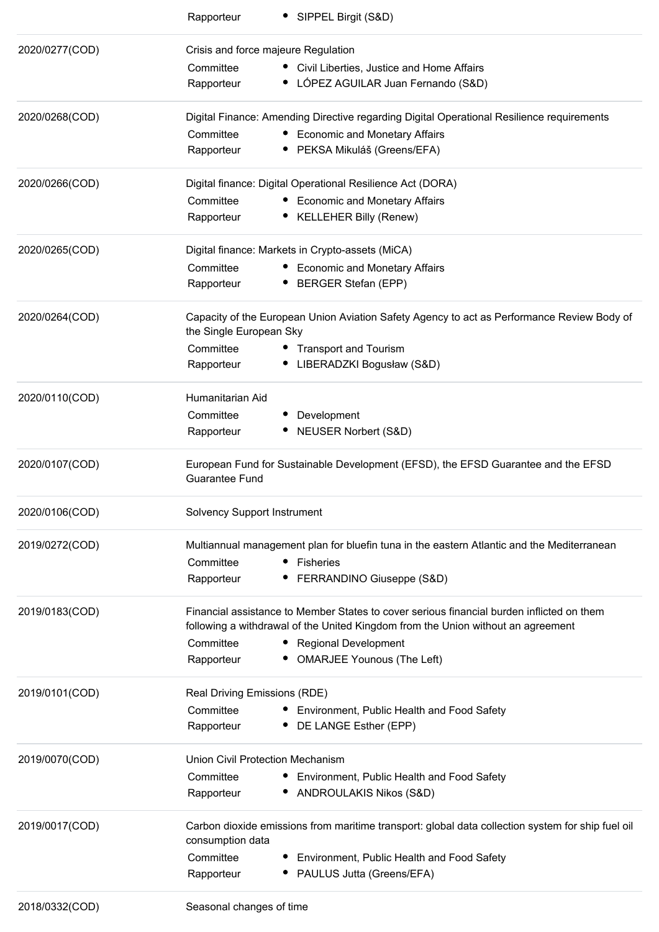|                | SIPPEL Birgit (S&D)<br>Rapporteur                                                                                                                                             |  |  |  |
|----------------|-------------------------------------------------------------------------------------------------------------------------------------------------------------------------------|--|--|--|
| 2020/0277(COD) | Crisis and force majeure Regulation                                                                                                                                           |  |  |  |
|                | Committee<br>• Civil Liberties, Justice and Home Affairs                                                                                                                      |  |  |  |
|                | • LÓPEZ AGUILAR Juan Fernando (S&D)<br>Rapporteur                                                                                                                             |  |  |  |
| 2020/0268(COD) | Digital Finance: Amending Directive regarding Digital Operational Resilience requirements                                                                                     |  |  |  |
|                | Committee<br><b>Economic and Monetary Affairs</b>                                                                                                                             |  |  |  |
|                | PEKSA Mikuláš (Greens/EFA)<br>Rapporteur                                                                                                                                      |  |  |  |
| 2020/0266(COD) | Digital finance: Digital Operational Resilience Act (DORA)                                                                                                                    |  |  |  |
|                | Committee<br><b>Economic and Monetary Affairs</b>                                                                                                                             |  |  |  |
|                | <b>KELLEHER Billy (Renew)</b><br>Rapporteur                                                                                                                                   |  |  |  |
| 2020/0265(COD) | Digital finance: Markets in Crypto-assets (MiCA)                                                                                                                              |  |  |  |
|                | Committee<br><b>Economic and Monetary Affairs</b>                                                                                                                             |  |  |  |
|                | <b>BERGER Stefan (EPP)</b><br>Rapporteur                                                                                                                                      |  |  |  |
| 2020/0264(COD) | Capacity of the European Union Aviation Safety Agency to act as Performance Review Body of<br>the Single European Sky                                                         |  |  |  |
|                | Committee<br>• Transport and Tourism                                                                                                                                          |  |  |  |
|                | • LIBERADZKI Bogusław (S&D)<br>Rapporteur                                                                                                                                     |  |  |  |
| 2020/0110(COD) | Humanitarian Aid                                                                                                                                                              |  |  |  |
|                | Committee<br>Development                                                                                                                                                      |  |  |  |
|                | <b>NEUSER Norbert (S&amp;D)</b><br>Rapporteur                                                                                                                                 |  |  |  |
| 2020/0107(COD) | European Fund for Sustainable Development (EFSD), the EFSD Guarantee and the EFSD<br><b>Guarantee Fund</b>                                                                    |  |  |  |
| 2020/0106(COD) | Solvency Support Instrument                                                                                                                                                   |  |  |  |
| 2019/0272(COD) | Multiannual management plan for bluefin tuna in the eastern Atlantic and the Mediterranean                                                                                    |  |  |  |
|                | Committee<br>• Fisheries                                                                                                                                                      |  |  |  |
|                | FERRANDINO Giuseppe (S&D)<br>Rapporteur                                                                                                                                       |  |  |  |
| 2019/0183(COD) | Financial assistance to Member States to cover serious financial burden inflicted on them<br>following a withdrawal of the United Kingdom from the Union without an agreement |  |  |  |
|                | Committee<br>• Regional Development                                                                                                                                           |  |  |  |
|                | <b>OMARJEE Younous (The Left)</b><br>Rapporteur                                                                                                                               |  |  |  |
| 2019/0101(COD) | Real Driving Emissions (RDE)                                                                                                                                                  |  |  |  |
|                | Committee<br>Environment, Public Health and Food Safety                                                                                                                       |  |  |  |
|                | DE LANGE Esther (EPP)<br>Rapporteur                                                                                                                                           |  |  |  |
| 2019/0070(COD) | Union Civil Protection Mechanism                                                                                                                                              |  |  |  |
|                | Committee<br>Environment, Public Health and Food Safety                                                                                                                       |  |  |  |
|                | ANDROULAKIS Nikos (S&D)<br>Rapporteur                                                                                                                                         |  |  |  |
| 2019/0017(COD) | Carbon dioxide emissions from maritime transport: global data collection system for ship fuel oil<br>consumption data                                                         |  |  |  |
|                | Committee<br>Environment, Public Health and Food Safety                                                                                                                       |  |  |  |
|                | • PAULUS Jutta (Greens/EFA)<br>Rapporteur                                                                                                                                     |  |  |  |
| 2018/0332(COD) | Seasonal changes of time                                                                                                                                                      |  |  |  |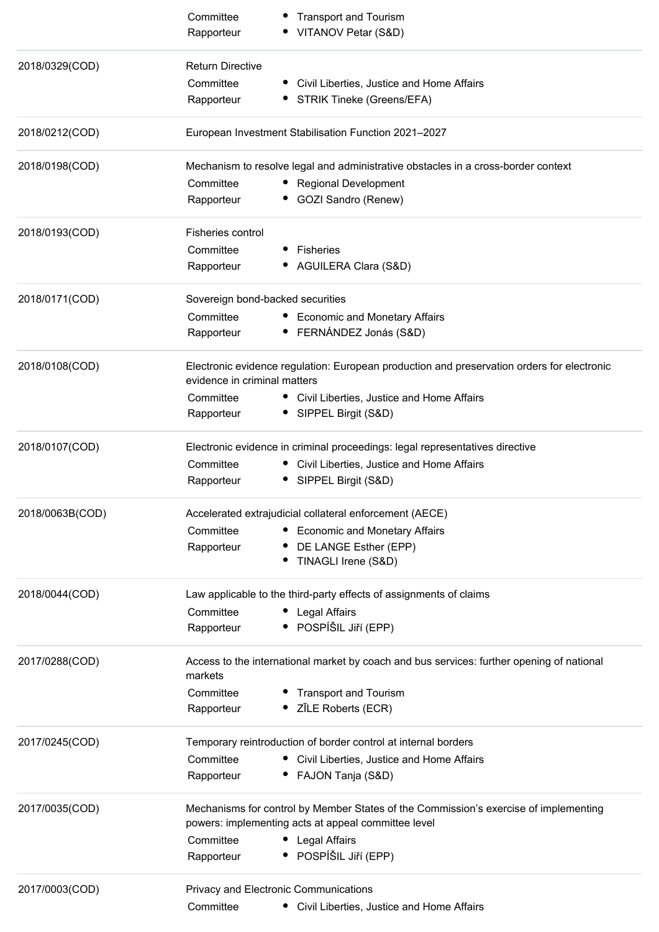|                 | Committee                                                                                            | <b>Transport and Tourism</b>                                                                                                                |  |
|-----------------|------------------------------------------------------------------------------------------------------|---------------------------------------------------------------------------------------------------------------------------------------------|--|
|                 | Rapporteur                                                                                           | VITANOV Petar (S&D)                                                                                                                         |  |
| 2018/0329(COD)  | <b>Return Directive</b>                                                                              |                                                                                                                                             |  |
|                 | Committee                                                                                            | Civil Liberties, Justice and Home Affairs                                                                                                   |  |
|                 | Rapporteur                                                                                           | STRIK Tineke (Greens/EFA)                                                                                                                   |  |
| 2018/0212(COD)  |                                                                                                      | European Investment Stabilisation Function 2021-2027                                                                                        |  |
| 2018/0198(COD)  |                                                                                                      | Mechanism to resolve legal and administrative obstacles in a cross-border context                                                           |  |
|                 | Committee                                                                                            | <b>Regional Development</b>                                                                                                                 |  |
|                 | Rapporteur                                                                                           | GOZI Sandro (Renew)                                                                                                                         |  |
| 2018/0193(COD)  | Fisheries control                                                                                    |                                                                                                                                             |  |
|                 | Committee                                                                                            | Fisheries                                                                                                                                   |  |
|                 | Rapporteur                                                                                           | AGUILERA Clara (S&D)                                                                                                                        |  |
| 2018/0171(COD)  | Sovereign bond-backed securities                                                                     |                                                                                                                                             |  |
|                 | Committee                                                                                            | <b>Economic and Monetary Affairs</b>                                                                                                        |  |
|                 | Rapporteur                                                                                           | • FERNÁNDEZ Jonás (S&D)                                                                                                                     |  |
| 2018/0108(COD)  | evidence in criminal matters                                                                         | Electronic evidence regulation: European production and preservation orders for electronic                                                  |  |
|                 | Committee                                                                                            | • Civil Liberties, Justice and Home Affairs                                                                                                 |  |
|                 | Rapporteur                                                                                           | SIPPEL Birgit (S&D)                                                                                                                         |  |
| 2018/0107(COD)  |                                                                                                      | Electronic evidence in criminal proceedings: legal representatives directive                                                                |  |
|                 | Committee                                                                                            | Civil Liberties, Justice and Home Affairs                                                                                                   |  |
|                 | Rapporteur                                                                                           | SIPPEL Birgit (S&D)                                                                                                                         |  |
| 2018/0063B(COD) |                                                                                                      | Accelerated extrajudicial collateral enforcement (AECE)                                                                                     |  |
|                 | Committee                                                                                            | • Economic and Monetary Affairs                                                                                                             |  |
|                 | Rapporteur                                                                                           | DE LANGE Esther (EPP)                                                                                                                       |  |
|                 |                                                                                                      | TINAGLI Irene (S&D)                                                                                                                         |  |
| 2018/0044(COD)  |                                                                                                      | Law applicable to the third-party effects of assignments of claims                                                                          |  |
|                 | Committee                                                                                            | • Legal Affairs                                                                                                                             |  |
|                 | Rapporteur                                                                                           | · POSPÍŠIL JIří (EPP)                                                                                                                       |  |
| 2017/0288(COD)  | Access to the international market by coach and bus services: further opening of national<br>markets |                                                                                                                                             |  |
|                 | Committee                                                                                            |                                                                                                                                             |  |
|                 | Rapporteur                                                                                           | • Transport and Tourism<br>• ZĪLE Roberts (ECR)                                                                                             |  |
| 2017/0245(COD)  |                                                                                                      | Temporary reintroduction of border control at internal borders                                                                              |  |
|                 | Committee                                                                                            | • Civil Liberties, Justice and Home Affairs                                                                                                 |  |
|                 | Rapporteur                                                                                           | FAJON Tanja (S&D)                                                                                                                           |  |
| 2017/0035(COD)  |                                                                                                      | Mechanisms for control by Member States of the Commission's exercise of implementing<br>powers: implementing acts at appeal committee level |  |
|                 | Committee                                                                                            | • Legal Affairs                                                                                                                             |  |
|                 | Rapporteur                                                                                           | · POSPÍŠIL Jiří (EPP)                                                                                                                       |  |
| 2017/0003(COD)  |                                                                                                      | Privacy and Electronic Communications                                                                                                       |  |
|                 | Committee                                                                                            | • Civil Liberties, Justice and Home Affairs                                                                                                 |  |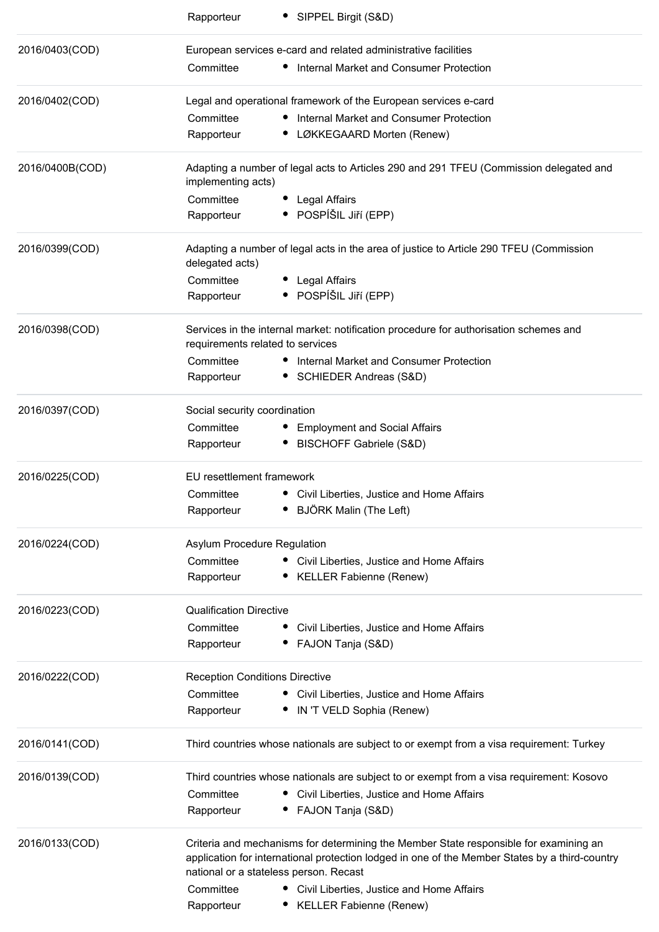| • SIPPEL Birgit (S&D)<br>Rapporteur                                                                                                                                                                                               |
|-----------------------------------------------------------------------------------------------------------------------------------------------------------------------------------------------------------------------------------|
| European services e-card and related administrative facilities                                                                                                                                                                    |
| Committee<br>• Internal Market and Consumer Protection                                                                                                                                                                            |
| Legal and operational framework of the European services e-card                                                                                                                                                                   |
| • Internal Market and Consumer Protection<br>Committee                                                                                                                                                                            |
| Rapporteur<br>• LØKKEGAARD Morten (Renew)                                                                                                                                                                                         |
| Adapting a number of legal acts to Articles 290 and 291 TFEU (Commission delegated and<br>implementing acts)                                                                                                                      |
| Committee<br>• Legal Affairs                                                                                                                                                                                                      |
| • POSPÍŠIL JIří (EPP)<br>Rapporteur                                                                                                                                                                                               |
| Adapting a number of legal acts in the area of justice to Article 290 TFEU (Commission<br>delegated acts)                                                                                                                         |
| Committee<br>• Legal Affairs                                                                                                                                                                                                      |
| • POSPÍŠIL JIří (EPP)<br>Rapporteur                                                                                                                                                                                               |
| Services in the internal market: notification procedure for authorisation schemes and<br>requirements related to services                                                                                                         |
| Committee<br>Internal Market and Consumer Protection                                                                                                                                                                              |
| Rapporteur<br>SCHIEDER Andreas (S&D)                                                                                                                                                                                              |
| Social security coordination                                                                                                                                                                                                      |
| Committee<br>• Employment and Social Affairs                                                                                                                                                                                      |
| <b>BISCHOFF Gabriele (S&amp;D)</b><br>Rapporteur<br>$\bullet$                                                                                                                                                                     |
| EU resettlement framework                                                                                                                                                                                                         |
| Committee<br>• Civil Liberties, Justice and Home Affairs                                                                                                                                                                          |
| • BJÖRK Malin (The Left)<br>Rapporteur                                                                                                                                                                                            |
| Asylum Procedure Regulation                                                                                                                                                                                                       |
| Committee<br>• Civil Liberties, Justice and Home Affairs                                                                                                                                                                          |
| <b>KELLER Fabienne (Renew)</b><br>Rapporteur                                                                                                                                                                                      |
| <b>Qualification Directive</b>                                                                                                                                                                                                    |
| Committee<br>Civil Liberties, Justice and Home Affairs                                                                                                                                                                            |
| Rapporteur<br>FAJON Tanja (S&D)                                                                                                                                                                                                   |
| <b>Reception Conditions Directive</b>                                                                                                                                                                                             |
| Committee<br>• Civil Liberties, Justice and Home Affairs                                                                                                                                                                          |
| • IN 'T VELD Sophia (Renew)<br>Rapporteur                                                                                                                                                                                         |
| Third countries whose nationals are subject to or exempt from a visa requirement: Turkey                                                                                                                                          |
| Third countries whose nationals are subject to or exempt from a visa requirement: Kosovo                                                                                                                                          |
| Committee<br>Civil Liberties, Justice and Home Affairs                                                                                                                                                                            |
| FAJON Tanja (S&D)<br>Rapporteur                                                                                                                                                                                                   |
| Criteria and mechanisms for determining the Member State responsible for examining an<br>application for international protection lodged in one of the Member States by a third-country<br>national or a stateless person. Recast |
| Committee<br>Civil Liberties, Justice and Home Affairs                                                                                                                                                                            |
| <b>KELLER Fabienne (Renew)</b><br>Rapporteur                                                                                                                                                                                      |
|                                                                                                                                                                                                                                   |